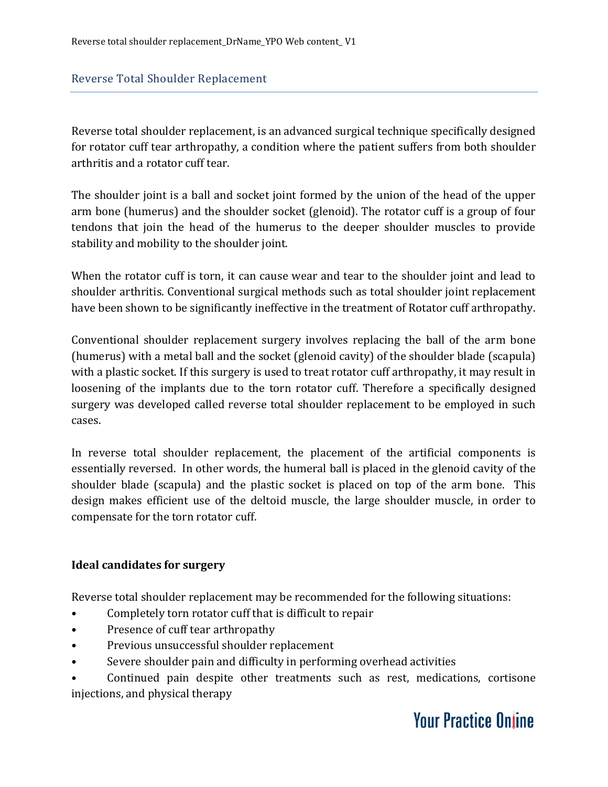Reverse total shoulder replacement, is an advanced surgical technique specifically designed for rotator cuff tear arthropathy, a condition where the patient suffers from both shoulder arthritis and a rotator cuff tear.

The shoulder joint is a ball and socket joint formed by the union of the head of the upper arm bone (humerus) and the shoulder socket (glenoid). The rotator cuff is a group of four tendons that join the head of the humerus to the deeper shoulder muscles to provide stability and mobility to the shoulder joint.

When the rotator cuff is torn, it can cause wear and tear to the shoulder joint and lead to shoulder arthritis. Conventional surgical methods such as total shoulder joint replacement have been shown to be significantly ineffective in the treatment of Rotator cuff arthropathy.

Conventional shoulder replacement surgery involves replacing the ball of the arm bone (humerus) with a metal ball and the socket (glenoid cavity) of the shoulder blade (scapula) with a plastic socket. If this surgery is used to treat rotator cuff arthropathy, it may result in loosening of the implants due to the torn rotator cuff. Therefore a specifically designed surgery was developed called reverse total shoulder replacement to be employed in such cases.

In reverse total shoulder replacement, the placement of the artificial components is essentially reversed. In other words, the humeral ball is placed in the glenoid cavity of the shoulder blade (scapula) and the plastic socket is placed on top of the arm bone. This design makes efficient use of the deltoid muscle, the large shoulder muscle, in order to compensate for the torn rotator cuff.

#### **Ideal candidates for surgery**

Reverse total shoulder replacement may be recommended for the following situations:

- Completely torn rotator cuff that is difficult to repair
- Presence of cuff tear arthropathy
- Previous unsuccessful shoulder replacement
- Severe shoulder pain and difficulty in performing overhead activities

• Continued pain despite other treatments such as rest, medications, cortisone injections, and physical therapy

## **Your Practice Online**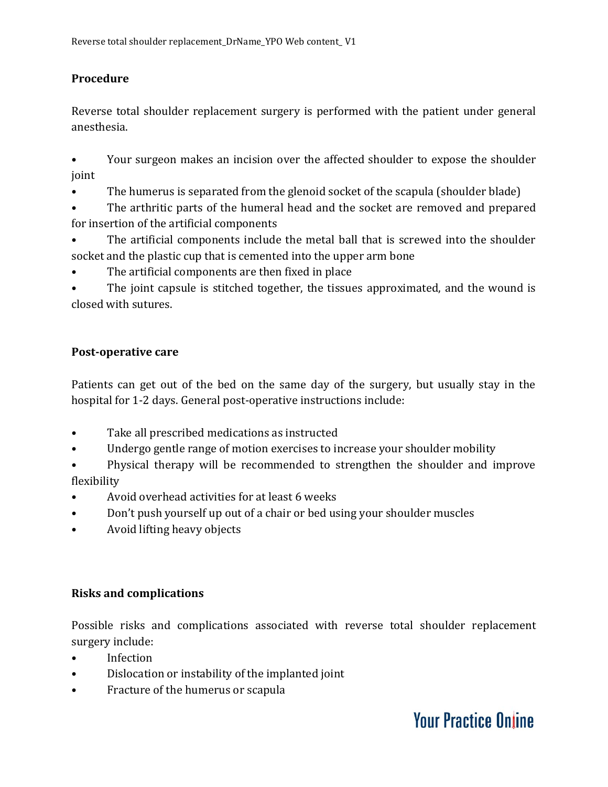### **Procedure**

Reverse total shoulder replacement surgery is performed with the patient under general anesthesia.

• Your surgeon makes an incision over the affected shoulder to expose the shoulder joint

- The humerus is separated from the glenoid socket of the scapula (shoulder blade)
- The arthritic parts of the humeral head and the socket are removed and prepared for insertion of the artificial components
- The artificial components include the metal ball that is screwed into the shoulder socket and the plastic cup that is cemented into the upper arm bone
- The artificial components are then fixed in place

The joint capsule is stitched together, the tissues approximated, and the wound is closed with sutures.

#### **Post-operative care**

Patients can get out of the bed on the same day of the surgery, but usually stay in the hospital for 1-2 days. General post-operative instructions include:

- Take all prescribed medications as instructed
- Undergo gentle range of motion exercises to increase your shoulder mobility
- Physical therapy will be recommended to strengthen the shoulder and improve flexibility
- Avoid overhead activities for at least 6 weeks
- Don't push yourself up out of a chair or bed using your shoulder muscles
- Avoid lifting heavy objects

#### **Risks and complications**

Possible risks and complications associated with reverse total shoulder replacement surgery include:

- Infection
- Dislocation or instability of the implanted joint
- Fracture of the humerus or scapula

# **Your Practice Online**